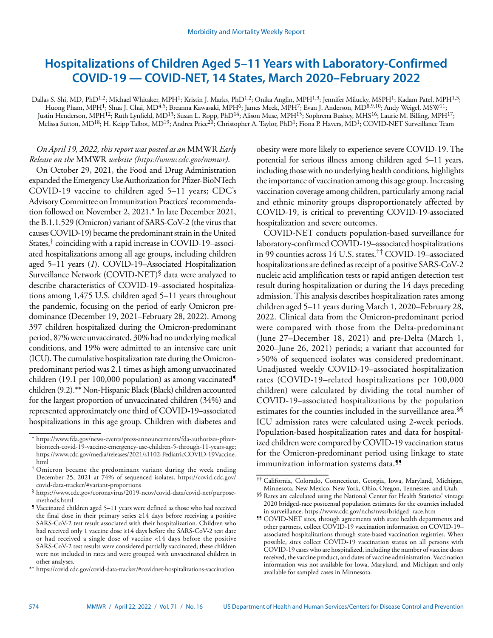# **Hospitalizations of Children Aged 5–11 Years with Laboratory-Confirmed COVID-19 — COVID-NET, 14 States, March 2020–February 2022**

Dallas S. Shi, MD, PhD<sup>1,2</sup>; Michael Whitaker, MPH<sup>1</sup>; Kristin J. Marks, PhD<sup>1,2</sup>; Onika Anglin, MPH<sup>1,3</sup>; Jennifer Milucky, MSPH<sup>1</sup>; Kadam Patel, MPH<sup>1,3</sup>; Huong Pham, MPH<sup>1</sup>; Shua J. Chai, MD<sup>4,5</sup>; Breanna Kawasaki, MPH<sup>6</sup>; James Meek, MPH<sup>7</sup>; Evan J. Anderson, MD<sup>8,9,10</sup>; Andy Weigel, MSW<sup>11</sup>; Justin Henderson, MPH12; Ruth Lynfield, MD13; Susan L. Ropp, PhD14; Alison Muse, MPH15; Sophrena Bushey, MHS16; Laurie M. Billing, MPH17; Melissa Sutton, MD<sup>18</sup>; H. Keipp Talbot, MD<sup>19</sup>; Andrea Price<sup>20</sup>; Christopher A. Taylor, PhD<sup>1</sup>; Fiona P. Havers, MD<sup>1</sup>; COVID-NET Surveillance Team

# *On April 19, 2022, this report was posted as an* MMWR *Early Release on the* MMWR *website [\(https://www.cdc.gov/mmwr\)](https://www.cdc.gov/mmwr).*

On October 29, 2021, the Food and Drug Administration expanded the Emergency Use Authorization for Pfizer-BioNTech COVID-19 vaccine to children aged 5–11 years; CDC's Advisory Committee on Immunization Practices' recommendation followed on November 2, 2021.\* In late December 2021, the B.1.1.529 (Omicron) variant of SARS-CoV-2 (the virus that causes COVID-19) became the predominant strain in the United States,† coinciding with a rapid increase in COVID-19–associated hospitalizations among all age groups, including children aged 5–11 years (*1*). COVID-19–Associated Hospitalization Surveillance Network (COVID-NET)<sup>§</sup> data were analyzed to describe characteristics of COVID-19–associated hospitalizations among 1,475 U.S. children aged 5–11 years throughout the pandemic, focusing on the period of early Omicron predominance (December 19, 2021–February 28, 2022). Among 397 children hospitalized during the Omicron-predominant period, 87% were unvaccinated, 30% had no underlying medical conditions, and 19% were admitted to an intensive care unit (ICU). The cumulative hospitalization rate during the Omicronpredominant period was 2.1 times as high among unvaccinated children (19.1 per 100,000 population) as among vaccinated children (9.2).\*\* Non-Hispanic Black (Black) children accounted for the largest proportion of unvaccinated children (34%) and represented approximately one third of COVID-19–associated hospitalizations in this age group. Children with diabetes and

obesity were more likely to experience severe COVID-19. The potential for serious illness among children aged 5–11 years, including those with no underlying health conditions, highlights the importance of vaccination among this age group. Increasing vaccination coverage among children, particularly among racial and ethnic minority groups disproportionately affected by COVID-19, is critical to preventing COVID-19-associated hospitalization and severe outcomes.

COVID-NET conducts population-based surveillance for laboratory-confirmed COVID-19–associated hospitalizations in 99 counties across 14 U.S. states.†† COVID-19–associated hospitalizations are defined as receipt of a positive SARS-CoV-2 nucleic acid amplification tests or rapid antigen detection test result during hospitalization or during the 14 days preceding admission. This analysis describes hospitalization rates among children aged 5–11 years during March 1, 2020–February 28, 2022. Clinical data from the Omicron-predominant period were compared with those from the Delta-predominant (June 27–December 18, 2021) and pre-Delta (March 1, 2020–June 26, 2021) periods; a variant that accounted for >50% of sequenced isolates was considered predominant. Unadjusted weekly COVID-19–associated hospitalization rates (COVID-19–related hospitalizations per 100,000 children) were calculated by dividing the total number of COVID-19–associated hospitalizations by the population estimates for the counties included in the surveillance area.§§ ICU admission rates were calculated using 2-week periods. Population-based hospitalization rates and data for hospitalized children were compared by COVID-19 vaccination status for the Omicron-predominant period using linkage to state immunization information systems data.<sup>11</sup>

<sup>\*</sup> [https://www.fda.gov/news-events/press-announcements/fda-authorizes-pfizer](https://www.fda.gov/news-events/press-announcements/fda-authorizes-pfizer-biontech-covid-19-vaccine-emergency-use-children-5-through-11-years-age)[biontech-covid-19-vaccine-emergency-use-children-5-through-11-years-age](https://www.fda.gov/news-events/press-announcements/fda-authorizes-pfizer-biontech-covid-19-vaccine-emergency-use-children-5-through-11-years-age); [https://www.cdc.gov/media/releases/2021/s1102-PediatricCOVID-19Vaccine.](https://www.cdc.gov/media/releases/2021/s1102-PediatricCOVID-19Vaccine.html) [html](https://www.cdc.gov/media/releases/2021/s1102-PediatricCOVID-19Vaccine.html)

<sup>†</sup> Omicron became the predominant variant during the week ending December 25, 2021 at 74% of sequenced isolates. [https://covid.cdc.gov/](https://covid.cdc.gov/covid-data-tracker/#variant-proportions) [covid-data-tracker/#variant-proportions](https://covid.cdc.gov/covid-data-tracker/#variant-proportions)

<sup>§</sup> [https://www.cdc.gov/coronavirus/2019-ncov/covid-data/covid-net/purpose](https://www.cdc.gov/coronavirus/2019-ncov/covid-data/covid-net/purpose-methods.html)[methods.html](https://www.cdc.gov/coronavirus/2019-ncov/covid-data/covid-net/purpose-methods.html)

<sup>¶</sup> Vaccinated children aged 5–11 years were defined as those who had received the final dose in their primary series ≥14 days before receiving a positive SARS-CoV-2 test result associated with their hospitalization. Children who had received only 1 vaccine dose ≥14 days before the SARS-CoV-2 test date or had received a single dose of vaccine <14 days before the positive SARS-CoV-2 test results were considered partially vaccinated; these children were not included in rates and were grouped with unvaccinated children in other analyses.

<sup>\*\*</sup> <https://covid.cdc.gov/covid-data-tracker/#covidnet-hospitalizations-vaccination>

<sup>††</sup> California, Colorado, Connecticut, Georgia, Iowa, Maryland, Michigan, Minnesota, New Mexico, New York, Ohio, Oregon, Tennessee, and Utah.

<sup>§§</sup> Rates are calculated using the National Center for Health Statistics' vintage 2020 bridged-race postcensal population estimates for the counties included in surveillance. [https://www.cdc.gov/nchs/nvss/bridged\\_race.htm](https://www.cdc.gov/nchs/nvss/bridged_race.htm)

<sup>¶¶</sup> COVID-NET sites, through agreements with state health departments and other partners, collect COVID-19 vaccination information on COVID-19– associated hospitalizations through state-based vaccination registries. When possible, sites collect COVID-19 vaccination status on all persons with COVID-19 cases who are hospitalized, including the number of vaccine doses received, the vaccine product, and dates of vaccine administration. Vaccination information was not available for Iowa, Maryland, and Michigan and only available for sampled cases in Minnesota.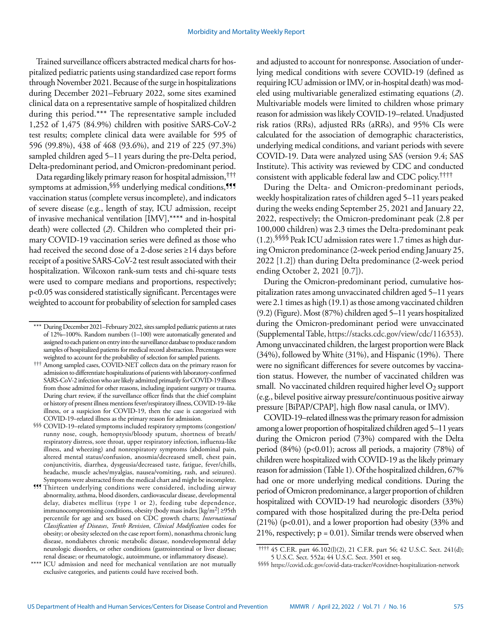Trained surveillance officers abstracted medical charts for hospitalized pediatric patients using standardized case report forms through November 2021. Because of the surge in hospitalizations during December 2021–February 2022, some sites examined clinical data on a representative sample of hospitalized children during this period.\*\*\* The representative sample included 1,252 of 1,475 (84.9%) children with positive SARS-CoV-2 test results; complete clinical data were available for 595 of 596 (99.8%), 438 of 468 (93.6%), and 219 of 225 (97.3%) sampled children aged 5–11 years during the pre-Delta period, Delta-predominant period, and Omicron-predominant period.

Data regarding likely primary reason for hospital admission,††† symptoms at admission, SSS underlying medical conditions, <sup>999</sup> vaccination status (complete versus incomplete), and indicators of severe disease (e.g., length of stay, ICU admission, receipt of invasive mechanical ventilation [IMV],\*\*\*\* and in-hospital death) were collected (*2*). Children who completed their primary COVID-19 vaccination series were defined as those who had received the second dose of a 2-dose series ≥14 days before receipt of a positive SARS-CoV-2 test result associated with their hospitalization. Wilcoxon rank-sum tests and chi-square tests were used to compare medians and proportions, respectively; p<0.05 was considered statistically significant. Percentages were weighted to account for probability of selection for sampled cases and adjusted to account for nonresponse. Association of underlying medical conditions with severe COVID-19 (defined as requiring ICU admission or IMV, or in-hospital death) was modeled using multivariable generalized estimating equations (*2*). Multivariable models were limited to children whose primary reason for admission was likely COVID-19–related. Unadjusted risk ratios (RRs), adjusted RRs (aRRs), and 95% CIs were calculated for the association of demographic characteristics, underlying medical conditions, and variant periods with severe COVID-19. Data were analyzed using SAS (version 9.4; SAS Institute). This activity was reviewed by CDC and conducted consistent with applicable federal law and CDC policy.††††

During the Delta- and Omicron-predominant periods, weekly hospitalization rates of children aged 5–11 years peaked during the weeks ending September 25, 2021 and January 22, 2022, respectively; the Omicron-predominant peak (2.8 per 100,000 children) was 2.3 times the Delta-predominant peak (1.2).§§§§ Peak ICU admission rates were 1.7 times as high during Omicron predominance (2-week period ending January 25, 2022 [1.2]) than during Delta predominance (2-week period ending October 2, 2021 [0.7]).

During the Omicron-predominant period, cumulative hospitalization rates among unvaccinated children aged 5–11 years were 2.1 times as high (19.1) as those among vaccinated children (9.2) (Figure). Most (87%) children aged 5–11 years hospitalized during the Omicron-predominant period were unvaccinated (Supplemental Table, [https://stacks.cdc.gov/view/cdc/116353\)](https://stacks.cdc.gov/view/cdc/116353). Among unvaccinated children, the largest proportion were Black (34%), followed by White (31%), and Hispanic (19%). There were no significant differences for severe outcomes by vaccination status. However, the number of vaccinated children was small. No vaccinated children required higher level  $O<sub>2</sub>$  support (e.g., bilevel positive airway pressure/continuous positive airway pressure [BiPAP/CPAP], high flow nasal canula, or IMV).

COVID-19–related illness was the primary reason for admission among a lower proportion of hospitalized children aged 5–11 years during the Omicron period (73%) compared with the Delta period  $(84\%)$  (p<0.01); across all periods, a majority  $(78\%)$  of children were hospitalized with COVID-19 as the likely primary reason for admission (Table 1). Of the hospitalized children, 67% had one or more underlying medical conditions. During the period of Omicron predominance, a larger proportion of children hospitalized with COVID-19 had neurologic disorders (33%) compared with those hospitalized during the pre-Delta period (21%) (p<0.01), and a lower proportion had obesity (33% and 21%, respectively;  $p = 0.01$ ). Similar trends were observed when

<sup>\*\*\*</sup> During December 2021–February 2022, sites sampled pediatric patients at rates of 12%–100%. Random numbers (1–100) were automatically generated and assigned to each patient on entry into the surveillance database to produce random samples of hospitalized patients for medical record abstraction. Percentages were weighted to account for the probability of selection for sampled patients.

<sup>†††</sup> Among sampled cases, COVID-NET collects data on the primary reason for admission to differentiate hospitalizations of patients with laboratory-confirmed SARS-CoV-2 infection who are likely admitted primarily for COVID-19 illness from those admitted for other reasons, including inpatient surgery or trauma. During chart review, if the surveillance officer finds that the chief complaint or history of present illness mentions fever/respiratory illness, COVID-19–like illness, or a suspicion for COVID-19, then the case is categorized with COVID-19–related illness as the primary reason for admission.

<sup>§§§</sup> COVID-19–related symptoms included respiratory symptoms (congestion/ runny nose, cough, hemoptysis/bloody sputum, shortness of breath/ respiratory distress, sore throat, upper respiratory infection, influenza-like illness, and wheezing) and nonrespiratory symptoms (abdominal pain, altered mental status/confusion, anosmia/decreased smell, chest pain, conjunctivitis, diarrhea, dysgeusia/decreased taste, fatigue, fever/chills, headache, muscle aches/myalgias, nausea/vomiting, rash, and seizures). Symptoms were abstracted from the medical chart and might be incomplete.

<sup>¶¶¶</sup> Thirteen underlying conditions were considered, including airway abnormality, asthma, blood disorders, cardiovascular disease, developmental delay, diabetes mellitus (type 1 or 2), feeding tube dependence, immunocompromising conditions, obesity (body mass index  $\lfloor \frac{kg}{m^2} \rfloor \geq 95$ th percentile for age and sex based on CDC growth charts; *International Classification of Diseases*, *Tenth Revision*, *Clinical Modification* codes for obesity; or obesity selected on the case report form), nonasthma chronic lung disease, nondiabetes chronic metabolic disease, nondevelopmental delay neurologic disorders, or other conditions (gastrointestinal or liver disease; renal disease; or rheumatologic, autoimmune, or inflammatory disease).

ICU admission and need for mechanical ventilation are not mutually exclusive categories, and patients could have received both.

<sup>††††</sup> 45 C.F.R. part 46.102(l)(2), 21 C.F.R. part 56; 42 U.S.C. Sect. 241(d); 5 U.S.C. Sect. 552a; 44 U.S.C. Sect. 3501 et seq.

<sup>§§§§</sup> <https://covid.cdc.gov/covid-data-tracker/#covidnet-hospitalization-network>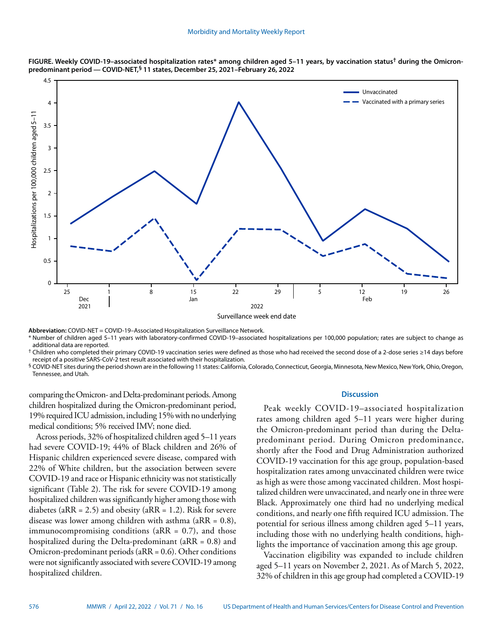



**Abbreviation:** COVID-NET = COVID-19–Associated Hospitalization Surveillance Network.

\* Number of children aged 5–11 years with laboratory-confirmed COVID-19–associated hospitalizations per 100,000 population; rates are subject to change as additional data are reported.

† Children who completed their primary COVID-19 vaccination series were defined as those who had received the second dose of a 2-dose series ≥14 days before receipt of a positive SARS-CoV-2 test result associated with their hospitalization.

§ COVID-NET sites during the period shown are in the following 11 states: California, Colorado, Connecticut, Georgia, Minnesota, New Mexico, New York, Ohio, Oregon, Tennessee, and Utah.

comparing the Omicron- and Delta-predominant periods. Among children hospitalized during the Omicron-predominant period, 19% required ICU admission, including 15% with no underlying medical conditions; 5% received IMV; none died.

Across periods, 32% of hospitalized children aged 5–11 years had severe COVID-19; 44% of Black children and 26% of Hispanic children experienced severe disease, compared with 22% of White children, but the association between severe COVID-19 and race or Hispanic ethnicity was not statistically significant (Table 2). The risk for severe COVID-19 among hospitalized children was significantly higher among those with diabetes (a $RR = 2.5$ ) and obesity (a $RR = 1.2$ ). Risk for severe disease was lower among children with asthma (a $RR = 0.8$ ), immunocompromising conditions ( $aRR = 0.7$ ), and those hospitalized during the Delta-predominant (aRR = 0.8) and Omicron-predominant periods (aRR = 0.6). Other conditions were not significantly associated with severe COVID-19 among hospitalized children.

# **Discussion**

Peak weekly COVID-19–associated hospitalization rates among children aged 5–11 years were higher during the Omicron-predominant period than during the Deltapredominant period. During Omicron predominance, shortly after the Food and Drug Administration authorized COVID-19 vaccination for this age group, population-based hospitalization rates among unvaccinated children were twice as high as were those among vaccinated children. Most hospitalized children were unvaccinated, and nearly one in three were Black. Approximately one third had no underlying medical conditions, and nearly one fifth required ICU admission. The potential for serious illness among children aged 5–11 years, including those with no underlying health conditions, highlights the importance of vaccination among this age group.

Vaccination eligibility was expanded to include children aged 5–11 years on November 2, 2021. As of March 5, 2022, 32% of children in this age group had completed a COVID-19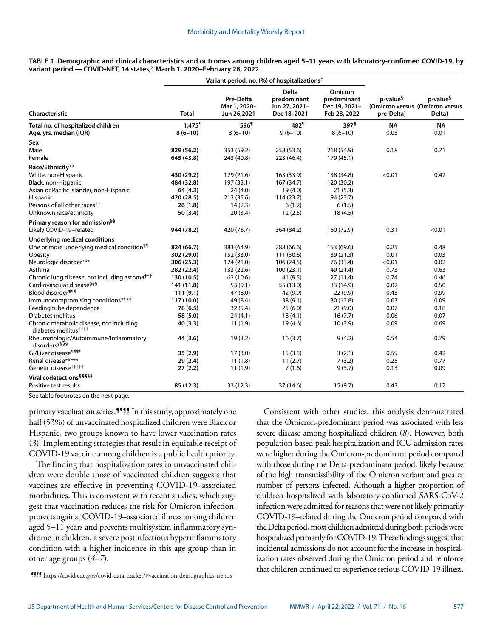|                                                                               |                      | Variant period, no. (%) of hospitalizations <sup>†</sup> |                                                       |                                                         |                                                                       |                                |
|-------------------------------------------------------------------------------|----------------------|----------------------------------------------------------|-------------------------------------------------------|---------------------------------------------------------|-----------------------------------------------------------------------|--------------------------------|
| <b>Characteristic</b>                                                         | <b>Total</b>         | Pre-Delta<br>Mar 1, 2020-<br>Jun 26,2021                 | Delta<br>predominant<br>Jun 27, 2021-<br>Dec 18, 2021 | Omicron<br>predominant<br>Dec 19, 2021-<br>Feb 28, 2022 | p-value <sup>§</sup><br>(Omicron versus (Omicron versus<br>pre-Delta) | p-value <sup>§</sup><br>Delta) |
| Total no. of hospitalized children                                            | $1.475$ <sup>1</sup> | 596 <sup>1</sup>                                         | 482 <sup>1</sup>                                      | $397$ <sup>1</sup>                                      | <b>NA</b>                                                             | <b>NA</b>                      |
| Age, yrs, median (IQR)                                                        | $8(6-10)$            | $8(6-10)$                                                | $9(6-10)$                                             | $8(6-10)$                                               | 0.03                                                                  | 0.01                           |
| Sex                                                                           |                      |                                                          |                                                       |                                                         |                                                                       |                                |
| Male                                                                          | 829 (56.2)           | 353 (59.2)                                               | 258 (53.6)                                            | 218 (54.9)                                              | 0.18                                                                  | 0.71                           |
| Female                                                                        | 645 (43.8)           | 243 (40.8)                                               | 223 (46.4)                                            | 179 (45.1)                                              |                                                                       |                                |
| Race/Ethnicity**                                                              |                      |                                                          |                                                       |                                                         |                                                                       |                                |
| White, non-Hispanic                                                           | 430 (29.2)           | 129 (21.6)                                               | 163 (33.9)                                            | 138 (34.8)                                              | < 0.01                                                                | 0.42                           |
| Black, non-Hispanic                                                           | 484 (32.8)           | 197 (33.1)                                               | 167 (34.7)                                            | 120 (30.2)                                              |                                                                       |                                |
| Asian or Pacific Islander, non-Hispanic                                       | 64 (4.3)             | 24(4.0)                                                  | 19(4.0)                                               | 21(5.3)                                                 |                                                                       |                                |
| <b>Hispanic</b>                                                               | 420 (28.5)           | 212 (35.6)                                               | 114(23.7)                                             | 94 (23.7)                                               |                                                                       |                                |
| Persons of all other races <sup>††</sup>                                      | 26(1.8)              | 14(2.3)                                                  | 6(1.2)                                                | 6(1.5)                                                  |                                                                       |                                |
| Unknown race/ethnicity                                                        | 50 (3.4)             | 20(3.4)                                                  | 12(2.5)                                               | 18(4.5)                                                 |                                                                       |                                |
| Primary reason for admission <sup>§§</sup>                                    |                      |                                                          |                                                       |                                                         |                                                                       |                                |
| Likely COVID-19-related                                                       | 944 (78.2)           | 420 (76.7)                                               | 364 (84.2)                                            | 160 (72.9)                                              | 0.31                                                                  | < 0.01                         |
| <b>Underlying medical conditions</b>                                          |                      |                                                          |                                                       |                                                         |                                                                       |                                |
| One or more underlying medical condition <sup>11</sup>                        | 824 (66.7)           | 383 (64.9)                                               | 288 (66.6)                                            | 153 (69.6)                                              | 0.25                                                                  | 0.48                           |
| Obesity                                                                       | 302 (29.0)           | 152 (33.0)                                               | 111 (30.6)                                            | 39 (21.3)                                               | 0.01                                                                  | 0.03                           |
| Neurologic disorder***                                                        | 306 (25.3)           | 124 (21.0)                                               | 106 (24.5)                                            | 76 (33.4)                                               | < 0.01                                                                | 0.02                           |
| Asthma                                                                        | 282 (22.4)           | 133 (22.6)                                               | 100(23.1)                                             | 49 (21.4)                                               | 0.73                                                                  | 0.63                           |
| Chronic lung disease, not including asthma <sup>†††</sup>                     | 130 (10.5)           | 62 (10.6)                                                | 41 (9.5)                                              | 27(11.4)                                                | 0.74                                                                  | 0.46                           |
| Cardiovascular disease <sup>§§§</sup>                                         | 141 (11.8)           | 53(9.1)                                                  | 55 (13.0)                                             | 33 (14.9)                                               | 0.02                                                                  | 0.50                           |
| Blood disorder <sup>¶¶¶</sup>                                                 | 111(9.1)             | 47 (8.0)                                                 | 42 (9.9)                                              | 22(9.9)                                                 | 0.43                                                                  | 0.99                           |
| Immunocompromising conditions****                                             | 117 (10.0)           | 49 (8.4)                                                 | 38(9.1)                                               | 30 (13.8)                                               | 0.03                                                                  | 0.09                           |
| Feeding tube dependence                                                       | 78 (6.5)             | 32(5.4)                                                  | 25(6.0)                                               | 21(9.0)                                                 | 0.07                                                                  | 0.18                           |
| Diabetes mellitus                                                             | 58 (5.0)             | 24(4.1)                                                  | 18(4.1)                                               | 16(7.7)                                                 | 0.06                                                                  | 0.07                           |
| Chronic metabolic disease, not including<br>diabetes mellitus <sup>††††</sup> | 40(3.3)              | 11(1.9)                                                  | 19(4.6)                                               | 10(3.9)                                                 | 0.09                                                                  | 0.69                           |
| Rheumatologic/Autoimmune/Inflammatory<br>disorders <sup>§§§§</sup>            | 44 (3.6)             | 19(3.2)                                                  | 16(3.7)                                               | 9(4.2)                                                  | 0.54                                                                  | 0.79                           |
| Gl/Liver disease <sup>¶¶¶</sup>                                               | 35(2.9)              | 17(3.0)                                                  | 15(3.5)                                               | 3(2.1)                                                  | 0.59                                                                  | 0.42                           |
| Renal disease*****                                                            | 29(2.4)              | 11(1.8)                                                  | 11(2.7)                                               | 7(3.2)                                                  | 0.25                                                                  | 0.77                           |
| Genetic disease <sup>†††††</sup>                                              | 27(2.2)              | 11(1.9)                                                  | 7(1.6)                                                | 9(3.7)                                                  | 0.13                                                                  | 0.09                           |
| Viral codetections <sup>§§§§§</sup>                                           |                      |                                                          |                                                       |                                                         |                                                                       |                                |
| Positive test results                                                         | 85 (12.3)            | 33 (12.3)                                                | 37 (14.6)                                             | 15(9.7)                                                 | 0.43                                                                  | 0.17                           |

**TABLE 1. Demographic and clinical characteristics and outcomes among children aged 5–11 years with laboratory-confirmed COVID-19, by variant period — COVID-NET, 14 states,\* March 1, 2020–February 28, 2022**

See table footnotes on the next page.

primary vaccination series.<sup>1111</sup> In this study, approximately one half (53%) of unvaccinated hospitalized children were Black or Hispanic, two groups known to have lower vaccination rates (*3*). Implementing strategies that result in equitable receipt of COVID-19 vaccine among children is a public health priority.

The finding that hospitalization rates in unvaccinated children were double those of vaccinated children suggests that vaccines are effective in preventing COVID-19–associated morbidities. This is consistent with recent studies, which suggest that vaccination reduces the risk for Omicron infection, protects against COVID-19–associated illness among children aged 5–11 years and prevents multisystem inflammatory syndrome in children, a severe postinfectious hyperinflammatory condition with a higher incidence in this age group than in other age groups (*4*–*7*).

Consistent with other studies, this analysis demonstrated that the Omicron-predominant period was associated with less severe disease among hospitalized children (*8*). However, both population-based peak hospitalization and ICU admission rates were higher during the Omicron-predominant period compared with those during the Delta-predominant period, likely because of the high transmissibility of the Omicron variant and greater number of persons infected. Although a higher proportion of children hospitalized with laboratory-confirmed SARS-CoV-2 infection were admitted for reasons that were not likely primarily COVID-19–related during the Omicron period compared with the Delta period, most children admitted during both periods were hospitalized primarily for COVID-19. These findings suggest that incidental admissions do not account for the increase in hospitalization rates observed during the Omicron period and reinforce that children continued to experience serious COVID-19 illness.

<sup>¶¶¶¶</sup> <https://covid.cdc.gov/covid-data-tracker/#vaccination-demographics-trends>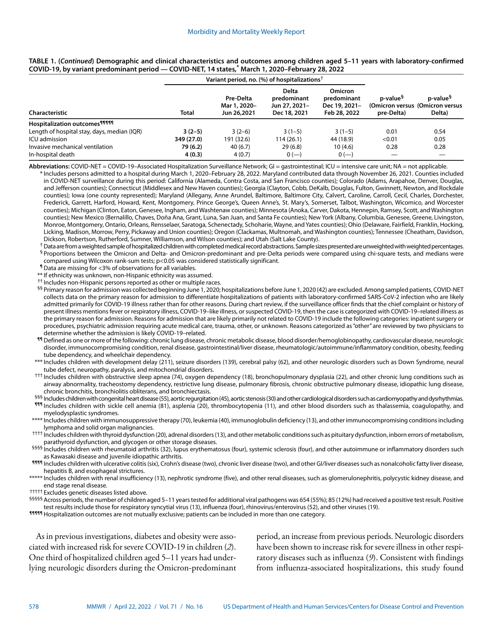|                                                  |              | Variant period, no. (%) of hospitalizations <sup>†</sup> |                                                              |                                                                |                                    |                                                                    |
|--------------------------------------------------|--------------|----------------------------------------------------------|--------------------------------------------------------------|----------------------------------------------------------------|------------------------------------|--------------------------------------------------------------------|
| <b>Characteristic</b>                            | <b>Total</b> | Pre-Delta<br>Mar 1, 2020-<br>Jun 26,2021                 | <b>Delta</b><br>predominant<br>Jun 27, 2021-<br>Dec 18, 2021 | <b>Omicron</b><br>predominant<br>Dec 19, 2021-<br>Feb 28, 2022 | p-value <sup>§</sup><br>pre-Delta) | p-value <sup>§</sup><br>(Omicron versus (Omicron versus)<br>Delta) |
| <b>Hospitalization outcomes</b> <sup>99999</sup> |              |                                                          |                                                              |                                                                |                                    |                                                                    |
| Length of hospital stay, days, median (IQR)      | $3(2-5)$     | $3(2-6)$                                                 | $3(1-5)$                                                     | $3(1-5)$                                                       | 0.01                               | 0.54                                                               |
| ICU admission                                    | 349 (27.0)   | 191 (32.6)                                               | 114 (26.1)                                                   | 44 (18.9)                                                      | < 0.01                             | 0.05                                                               |
| Invasive mechanical ventilation                  | 79 (6.2)     | 40(6.7)                                                  | 29(6.8)                                                      | 10(4.6)                                                        | 0.28                               | 0.28                                                               |
| In-hospital death                                | 4(0.3)       | 4(0.7)                                                   | $0(-)$                                                       | $0(-)$                                                         |                                    |                                                                    |

## **TABLE 1. (***Continued***) Demographic and clinical characteristics and outcomes among children aged 5–11 years with laboratory-confirmed COVID-19, by variant predominant period — COVID-NET, 14 states,\* March 1, 2020–February 28, 2022**

**Abbreviations:** COVID-NET = COVID-19–Associated Hospitalization Surveillance Network; GI = gastrointestinal; ICU = intensive care unit; NA = not applicable.

\* Includes persons admitted to a hospital during March 1, 2020–February 28, 2022. Maryland contributed data through November 26, 2021. Counties included in COVID-NET surveillance during this period: California (Alameda, Contra Costa, and San Francisco counties); Colorado (Adams, Arapahoe, Denver, Douglas, and Jefferson counties); Connecticut (Middlesex and New Haven counties); Georgia (Clayton, Cobb, DeKalb, Douglas, Fulton, Gwinnett, Newton, and Rockdale counties); Iowa (one county represented); Maryland (Allegany, Anne Arundel, Baltimore, Baltimore City, Calvert, Caroline, Carroll, Cecil, Charles, Dorchester, Frederick, Garrett, Harford, Howard, Kent, Montgomery, Prince George's, Queen Anne's, St. Mary's, Somerset, Talbot, Washington, Wicomico, and Worcester counties); Michigan (Clinton, Eaton, Genesee, Ingham, and Washtenaw counties); Minnesota (Anoka, Carver, Dakota, Hennepin, Ramsey, Scott, and Washington counties); New Mexico (Bernalillo, Chaves, Doña Ana, Grant, Luna, San Juan, and Santa Fe counties); New York (Albany, Columbia, Genesee, Greene, Livingston, Monroe, Montgomery, Ontario, Orleans, Rensselaer, Saratoga, Schenectady, Schoharie, Wayne, and Yates counties); Ohio (Delaware, Fairfield, Franklin, Hocking, Licking, Madison, Morrow, Perry, Pickaway and Union counties); Oregon (Clackamas, Multnomah, and Washington counties); Tennessee (Cheatham, Davidson, Dickson, Robertson, Rutherford, Sumner, Williamson, and Wilson counties); and Utah (Salt Lake County).

† Data are from a weighted sample of hospitalized children with completed medical record abstractions. Sample sizes presented are unweighted with weighted percentages.

§ Proportions between the Omicron and Delta- and Omicron-predominant and pre-Delta periods were compared using chi-square tests, and medians were compared using Wilcoxon rank-sum tests; p<0.05 was considered statistically significant.

¶ Data are missing for <3% of observations for all variables.

\*\* If ethnicity was unknown, non-Hispanic ethnicity was assumed.

†† Includes non-Hispanic persons reported as other or multiple races.

§§ Primary reason for admission was collected beginning June 1, 2020; hospitalizations before June 1, 2020 (42) are excluded. Among sampled patients, COVID-NET collects data on the primary reason for admission to differentiate hospitalizations of patients with laboratory-confirmed SARS-CoV-2 infection who are likely admitted primarily for COVID-19 illness rather than for other reasons. During chart review, if the surveillance officer finds that the chief complaint or history of present illness mentions fever or respiratory illness, COVID-19–like illness, or suspected COVID-19, then the case is categorized with COVID-19–related illness as the primary reason for admission. Reasons for admission that are likely primarily not related to COVID-19 include the following categories: inpatient surgery or procedures, psychiatric admission requiring acute medical care, trauma, other, or unknown. Reasons categorized as "other" are reviewed by two physicians to determine whether the admission is likely COVID-19–related.

¶¶ Defined as one or more of the following: chronic lung disease, chronic metabolic disease, blood disorder/hemoglobinopathy, cardiovascular disease, neurologic disorder, immunocompromising condition, renal disease, gastrointestinal/liver disease, rheumatologic/autoimmune/inflammatory condition, obesity, feeding tube dependency, and wheelchair dependency.

- \*\*\* Includes children with development delay (211), seizure disorders (139), cerebral palsy (62), and other neurologic disorders such as Down Syndrome, neural tube defect, neuropathy, paralysis, and mitochondrial disorders.
- ††† Includes children with obstructive sleep apnea (74), oxygen dependency (18), bronchopulmonary dysplasia (22), and other chronic lung conditions such as airway abnormality, tracheostomy dependency, restrictive lung disease, pulmonary fibrosis, chronic obstructive pulmonary disease, idiopathic lung disease, chronic bronchitis, bronchiolitis obliterans, and bronchiectasis.

§§§ Includes children with congenital heart disease (55), aortic regurgitation (45), aortic stenosis (30) and other cardiological disorders such as cardiomyopathy and dysrhythmias. ¶¶¶ Includes children with sickle cell anemia (81), asplenia (20), thrombocytopenia (11), and other blood disorders such as thalassemia, coagulopathy, and myelodysplastic syndromes.

\*\*\*\* Includes children with immunosuppressive therapy (70), leukemia (40), immunoglobulin deficiency (13), and other immunocompromising conditions including lymphoma and solid organ malignancies.

†††† Includes children with thyroid dysfunction (20), adrenal disorders (13), and other metabolic conditions such as pituitary dysfunction, inborn errors of metabolism, parathyroid dysfunction, and glycogen or other storage diseases.

§§§§§ Includes children with rheumatoid arthritis (32), lupus erythematosus (four), systemic sclerosis (four), and other autoimmune or inflammatory disorders such as Kawasaki disease and juvenile idiopathic arthritis.

1111 Includes children with ulcerative colitis (six), Crohn's disease (two), chronic liver disease (two), and other GI/liver diseases such as nonalcoholic fatty liver disease, hepatitis B, and esophageal strictures.

\*\*\*\*\* Includes children with renal insufficiency (13), nephrotic syndrome (five), and other renal diseases, such as glomerulonephritis, polycystic kidney disease, and end stage renal disease.

††††† Excludes genetic diseases listed above.

§§§§§ Across periods, the number of children aged 5–11 years tested for additional viral pathogens was 654 (55%); 85 (12%) had received a positive test result. Positive test results include those for respiratory syncytial virus (13), influenza (four), rhinovirus/enterovirus (52), and other viruses (19).

**11111** Hospitalization outcomes are not mutually exclusive; patients can be included in more than one category.

As in previous investigations, diabetes and obesity were associated with increased risk for severe COVID-19 in children (*2*). One third of hospitalized children aged 5–11 years had underlying neurologic disorders during the Omicron-predominant period, an increase from previous periods. Neurologic disorders have been shown to increase risk for severe illness in other respiratory diseases such as influenza (*9*). Consistent with findings from influenza-associated hospitalizations, this study found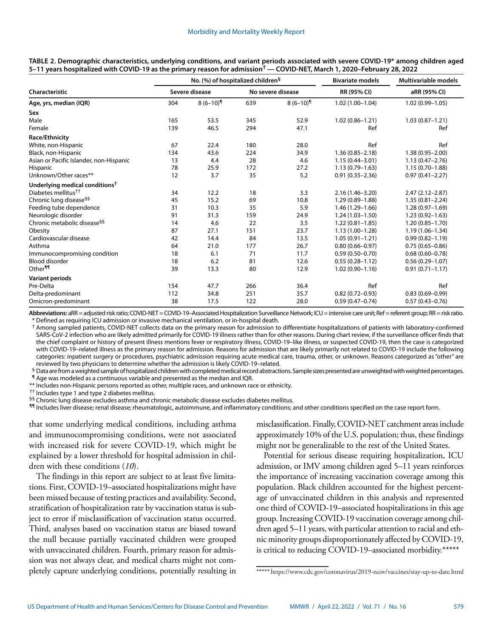|                                            | No. (%) of hospitalized children <sup>§</sup> |           |                   |                        | <b>Bivariate models</b> | Multivariable models |  |
|--------------------------------------------|-----------------------------------------------|-----------|-------------------|------------------------|-------------------------|----------------------|--|
| Characteristic<br>Age, yrs, median (IQR)   | Severe disease                                |           | No severe disease |                        | RR (95% CI)             | aRR (95% CI)         |  |
|                                            | 304                                           | $8(6-10)$ | 639               | $8(6-10)$ <sup>1</sup> | $1.02(1.00 - 1.04)$     | $1.02(0.99 - 1.05)$  |  |
| Sex                                        |                                               |           |                   |                        |                         |                      |  |
| Male                                       | 165                                           | 53.5      | 345               | 52.9                   | $1.02(0.86 - 1.21)$     | $1.03(0.87 - 1.21)$  |  |
| Female                                     | 139                                           | 46.5      | 294               | 47.1                   | Ref                     | Ref                  |  |
| Race/Ethnicity                             |                                               |           |                   |                        |                         |                      |  |
| White, non-Hispanic                        | 67                                            | 22.4      | 180               | 28.0                   | Ref                     | Ref                  |  |
| Black, non-Hispanic                        | 134                                           | 43.6      | 224               | 34.9                   | $1.36(0.85 - 2.18)$     | $1.38(0.95 - 2.00)$  |  |
| Asian or Pacific Islander, non-Hispanic    | 13                                            | 4.4       | 28                | 4.6                    | $1.15(0.44 - 3.01)$     | $1.13(0.47 - 2.76)$  |  |
| Hispanic                                   | 78                                            | 25.9      | 172               | 27.2                   | $1.13(0.79 - 1.63)$     | $1.15(0.70 - 1.88)$  |  |
| Unknown/Other races**                      | 12                                            | 3.7       | 35                | 5.2                    | $0.91(0.35 - 2.36)$     | $0.97(0.41 - 2.27)$  |  |
| Underlying medical conditions <sup>†</sup> |                                               |           |                   |                        |                         |                      |  |
| Diabetes mellitus <sup>††</sup>            | 34                                            | 12.2      | 18                | 3.3                    | $2.16(1.46 - 3.20)$     | $2.47(2.12 - 2.87)$  |  |
| Chronic lung disease <sup>§§</sup>         | 45                                            | 15.2      | 69                | 10.8                   | $1.29(0.89 - 1.88)$     | $1.35(0.81 - 2.24)$  |  |
| Feeding tube dependence                    | 31                                            | 10.3      | 35                | 5.9                    | $1.46(1.29 - 1.66)$     | $1.28(0.97 - 1.69)$  |  |
| Neurologic disorder                        | 91                                            | 31.3      | 159               | 24.9                   | $1.24(1.03 - 1.50)$     | $1.23(0.92 - 1.63)$  |  |
| Chronic metabolic disease <sup>§§</sup>    | 14                                            | 4.6       | 22                | 3.5                    | $1.22(0.81 - 1.85)$     | $1.20(0.85 - 1.70)$  |  |
| Obesity                                    | 87                                            | 27.1      | 151               | 23.7                   | $1.13(1.00-1.28)$       | $1.19(1.06 - 1.34)$  |  |
| Cardiovascular disease                     | 42                                            | 14.4      | 84                | 13.5                   | $1.05(0.91 - 1.21)$     | $0.99(0.82 - 1.19)$  |  |
| Asthma                                     | 64                                            | 21.0      | 177               | 26.7                   | $0.80(0.66 - 0.97)$     | $0.75(0.65 - 0.86)$  |  |
| Immunocompromising condition               | 18                                            | 6.1       | 71                | 11.7                   | $0.59(0.50 - 0.70)$     | $0.68(0.60 - 0.78)$  |  |
| <b>Blood disorder</b>                      | 18                                            | 6.2       | 81                | 12.6                   | $0.55(0.28 - 1.12)$     | $0.56(0.29 - 1.07)$  |  |
| Other <sup>11</sup>                        | 39                                            | 13.3      | 80                | 12.9                   | $1.02(0.90 - 1.16)$     | $0.91(0.71 - 1.17)$  |  |
| <b>Variant periods</b>                     |                                               |           |                   |                        |                         |                      |  |
| Pre-Delta                                  | 154                                           | 47.7      | 266               | 36.4                   | Ref                     | Ref                  |  |
| Delta-predominant                          | 112                                           | 34.8      | 251               | 35.7                   | $0.82(0.72 - 0.93)$     | $0.83(0.69 - 0.99)$  |  |
| Omicron-predominant                        | 38                                            | 17.5      | 122               | 28.0                   | $0.59(0.47 - 0.74)$     | $0.57(0.43 - 0.76)$  |  |

**TABLE 2. Demographic characteristics, underlying conditions, and variant periods associated with severe COVID-19\* among children aged 5–11 years hospitalized with COVID-19 as the primary reason for admission† — COVID-NET, March 1, 2020–February 28, 2022**

**Abbreviations:** aRR = adjusted risk ratio; COVID-NET = COVID-19–Associated Hospitalization Surveillance Network; ICU = intensive care unit; Ref = referent group; RR = risk ratio. \* Defined as requiring ICU admission or invasive mechanical ventilation, or in-hospital death.

† Among sampled patients, COVID-NET collects data on the primary reason for admission to differentiate hospitalizations of patients with laboratory-confirmed SARS-CoV-2 infection who are likely admitted primarily for COVID-19 illness rather than for other reasons. During chart review, if the surveillance officer finds that the chief complaint or history of present illness mentions fever or respiratory illness, COVID-19–like illness, or suspected COVID-19, then the case is categorized with COVID-19–related illness as the primary reason for admission. Reasons for admission that are likely primarily not related to COVID-19 include the following categories: inpatient surgery or procedures, psychiatric admission requiring acute medical care, trauma, other, or unknown. Reasons categorized as "other" are reviewed by two physicians to determine whether the admission is likely COVID-19–related.

§ Data are from a weighted sample of hospitalized children with completed medical record abstractions. Sample sizes presented are unweighted with weighted percentages. ¶ Age was modeled as a continuous variable and presented as the median and IQR.

\*\* Includes non-Hispanic persons reported as other, multiple races, and unknown race or ethnicity.

†† Includes type 1 and type 2 diabetes mellitus.

§§ Chronic lung disease excludes asthma and chronic metabolic disease excludes diabetes mellitus.

¶¶ Includes liver disease; renal disease; rheumatologic, autoimmune, and inflammatory conditions; and other conditions specified on the case report form.

that some underlying medical conditions, including asthma and immunocompromising conditions, were not associated with increased risk for severe COVID-19, which might be explained by a lower threshold for hospital admission in children with these conditions (*10*).

The findings in this report are subject to at least five limitations. First, COVID-19–associated hospitalizations might have been missed because of testing practices and availability. Second, stratification of hospitalization rate by vaccination status is subject to error if misclassification of vaccination status occurred. Third, analyses based on vaccination status are biased toward the null because partially vaccinated children were grouped with unvaccinated children. Fourth, primary reason for admission was not always clear, and medical charts might not completely capture underlying conditions, potentially resulting in misclassification. Finally, COVID-NET catchment areas include approximately 10% of the U.S. population; thus, these findings might not be generalizable to the rest of the United States.

Potential for serious disease requiring hospitalization, ICU admission, or IMV among children aged 5–11 years reinforces the importance of increasing vaccination coverage among this population. Black children accounted for the highest percentage of unvaccinated children in this analysis and represented one third of COVID-19–associated hospitalizations in this age group. Increasing COVID-19 vaccination coverage among children aged 5–11 years, with particular attention to racial and ethnic minority groups disproportionately affected by COVID-19, is critical to reducing COVID-19–associated morbidity.\*\*\*\*\*

<sup>\*\*\*\*\*</sup> [https://www.cdc.gov/coronavirus/2019-ncov/vaccines/stay-up-to-date.html](https://www.cdc.gov/coronavirus/2019-ncov/vaccines/stay-up-to-date.html )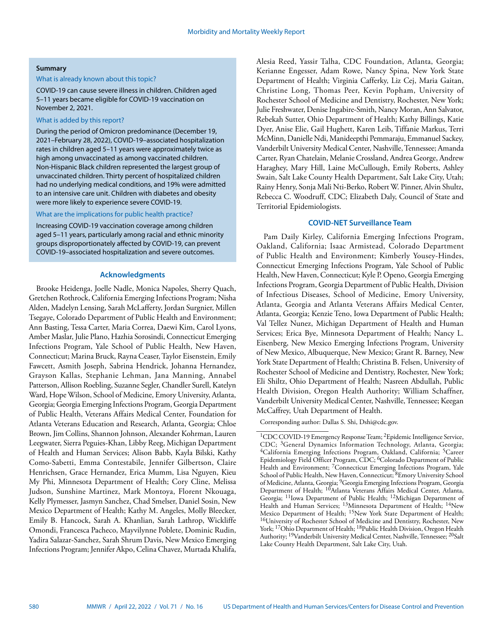# **Summary**

# What is already known about this topic?

COVID-19 can cause severe illness in children. Children aged 5–11 years became eligible for COVID-19 vaccination on November 2, 2021.

#### What is added by this report?

During the period of Omicron predominance (December 19, 2021–February 28, 2022), COVID-19–associated hospitalization rates in children aged 5–11 years were approximately twice as high among unvaccinated as among vaccinated children. Non-Hispanic Black children represented the largest group of unvaccinated children. Thirty percent of hospitalized children had no underlying medical conditions, and 19% were admitted to an intensive care unit. Children with diabetes and obesity were more likely to experience severe COVID-19.

# What are the implications for public health practice?

Increasing COVID-19 vaccination coverage among children aged 5–11 years, particularly among racial and ethnic minority groups disproportionately affected by COVID-19, can prevent COVID-19–associated hospitalization and severe outcomes.

## **Acknowledgments**

Brooke Heidenga, Joelle Nadle, Monica Napoles, Sherry Quach, Gretchen Rothrock, California Emerging Infections Program; Nisha Alden, Madelyn Lensing, Sarah McLafferty, Jordan Surgnier, Millen Tsegaye, Colorado Department of Public Health and Environment; Ann Basting, Tessa Carter, Maria Correa, Daewi Kim, Carol Lyons, Amber Maslar, Julie Plano, Hazhia Sorosindi, Connecticut Emerging Infections Program, Yale School of Public Health, New Haven, Connecticut; Marina Bruck, Rayna Ceaser, Taylor Eisenstein, Emily Fawcett, Asmith Joseph, Sabrina Hendrick, Johanna Hernandez, Grayson Kallas, Stephanie Lehman, Jana Manning, Annabel Patterson, Allison Roebling, Suzanne Segler, Chandler Surell, Katelyn Ward, Hope Wilson, School of Medicine, Emory University, Atlanta, Georgia; Georgia Emerging Infections Program, Georgia Department of Public Health, Veterans Affairs Medical Center, Foundation for Atlanta Veterans Education and Research, Atlanta, Georgia; Chloe Brown, Jim Collins, Shannon Johnson, Alexander Kohrman, Lauren Leegwater, Sierra Peguies-Khan, Libby Reeg, Michigan Department of Health and Human Services; Alison Babb, Kayla Bilski, Kathy Como-Sabetti, Emma Contestabile, Jennifer Gilbertson, Claire Henrichsen, Grace Hernandez, Erica Mumm, Lisa Nguyen, Kieu My Phi, Minnesota Department of Health; Cory Cline, Melissa Judson, Sunshine Martinez, Mark Montoya, Florent Nkouaga, Kelly Plymesser, Jasmyn Sanchez, Chad Smelser, Daniel Sosin, New Mexico Department of Health; Kathy M. Angeles, Molly Bleecker, Emily B. Hancock, Sarah A. Khanlian, Sarah Lathrop, Wickliffe Omondi, Francesca Pacheco, Mayvilynne Poblete, Dominic Rudin, Yadira Salazar-Sanchez, Sarah Shrum Davis, New Mexico Emerging Infections Program; Jennifer Akpo, Celina Chavez, Murtada Khalifa,

Alesia Reed, Yassir Talha, CDC Foundation, Atlanta, Georgia; Kerianne Engesser, Adam Rowe, Nancy Spina, New York State Department of Health; Virginia Cafferky, Liz Cej, Maria Gaitan, Christine Long, Thomas Peer, Kevin Popham, University of Rochester School of Medicine and Dentistry, Rochester, New York; Julie Freshwater, Denise Ingabire-Smith, Nancy Moran, Ann Salvator, Rebekah Sutter, Ohio Department of Health; Kathy Billings, Katie Dyer, Anise Elie, Gail Hughett, Karen Leib, Tiffanie Markus, Terri McMinn, Danielle Ndi, Manideepthi Pemmaraju, Emmanuel Sackey, Vanderbilt University Medical Center, Nashville, Tennessee; Amanda Carter, Ryan Chatelain, Melanie Crossland, Andrea George, Andrew Haraghey, Mary Hill, Laine McCullough, Emily Roberts, Ashley Swain, Salt Lake County Health Department, Salt Lake City, Utah; Rainy Henry, Sonja Mali Nti-Berko, Robert W. Pinner, Alvin Shultz, Rebecca C. Woodruff, CDC; Elizabeth Daly, Council of State and Territorial Epidemiologists.

# **COVID-NET Surveillance Team**

Pam Daily Kirley, California Emerging Infections Program, Oakland, California; Isaac Armistead, Colorado Department of Public Health and Environment; Kimberly Yousey-Hindes, Connecticut Emerging Infections Program, Yale School of Public Health, New Haven, Connecticut; Kyle P. Openo, Georgia Emerging Infections Program, Georgia Department of Public Health, Division of Infectious Diseases, School of Medicine, Emory University, Atlanta, Georgia and Atlanta Veterans Affairs Medical Center, Atlanta, Georgia; Kenzie Teno, Iowa Department of Public Health; Val Tellez Nunez, Michigan Department of Health and Human Services; Erica Bye, Minnesota Department of Health; Nancy L. Eisenberg, New Mexico Emerging Infections Program, University of New Mexico, Albuquerque, New Mexico; Grant R. Barney, New York State Department of Health; Christina B. Felsen, University of Rochester School of Medicine and Dentistry, Rochester, New York; Eli Shiltz, Ohio Department of Health; Nasreen Abdullah, Public Health Division, Oregon Health Authority; William Schaffner, Vanderbilt University Medical Center, Nashville, Tennessee; Keegan McCaffrey, Utah Department of Health.

Corresponding author: Dallas S. Shi, Dshi@cdc.gov.

<sup>&</sup>lt;sup>1</sup>CDC COVID-19 Emergency Response Team; <sup>2</sup>Epidemic Intelligence Service, CDC; <sup>3</sup>General Dynamics Information Technology, Atlanta, Georgia; <sup>4</sup>California Emerging Infections Program, Oakland, California; <sup>5</sup>Career Epidemiology Field Officer Program, CDC; <sup>6</sup>Colorado Department of Public Health and Environment; 7Connecticut Emerging Infections Program, Yale School of Public Health, New Haven, Connecticut; <sup>8</sup>Emory University School of Medicine, Atlanta, Georgia; 9Georgia Emerging Infections Program, Georgia Department of Health; 10Atlanta Veterans Affairs Medical Center, Atlanta, Georgia; 11Iowa Department of Public Health; 12Michigan Department of Health and Human Services; <sup>13</sup>Minnesota Department of Health; <sup>14</sup>New Mexico Department of Health; 15New York State Department of Health; 16University of Rochester School of Medicine and Dentistry, Rochester, New York; <sup>17</sup>Ohio Department of Health; <sup>18</sup>Public Health Division, Oregon Health Authority; 19Vanderbilt University Medical Center, Nashville, Tennessee; 20Salt Lake County Health Department, Salt Lake City, Utah.